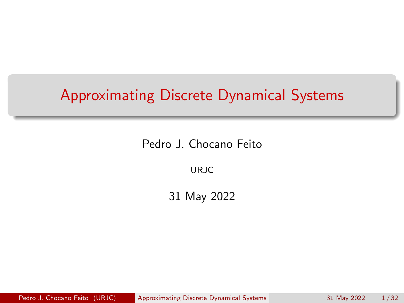<span id="page-0-0"></span>Pedro J. Chocano Feito

URJC

31 May 2022

Pedro J. Chocano Feito (URJC) [Approximating Discrete Dynamical Systems](#page-52-0) 31 May 2022 1/32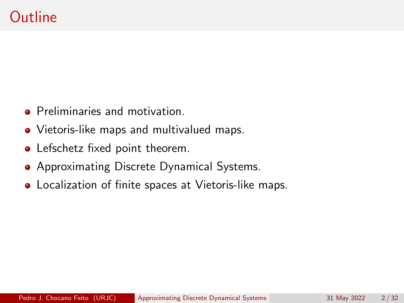- **•** Preliminaries and motivation.
- Vietoris-like maps and multivalued maps.
- Lefschetz fixed point theorem.
- Approximating Discrete Dynamical Systems.
- Localization of finite spaces at Vietoris-like maps.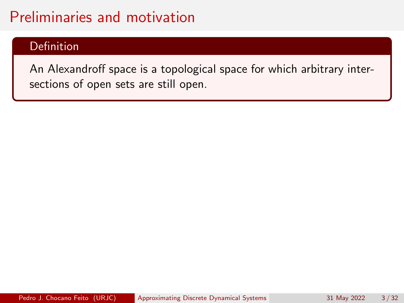### Definition

An Alexandroff space is a topological space for which arbitrary intersections of open sets are still open.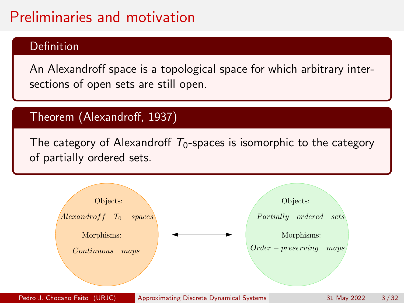### Definition

An Alexandroff space is a topological space for which arbitrary intersections of open sets are still open.

### Theorem (Alexandroff, 1937)

The category of Alexandroff  $T_0$ -spaces is isomorphic to the category of partially ordered sets.

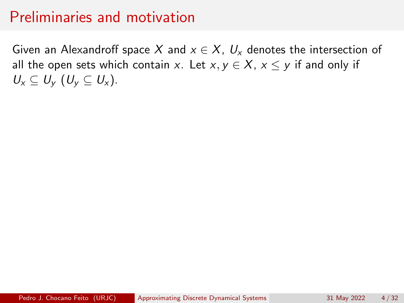Given an Alexandroff space X and  $x \in X$ ,  $U_x$  denotes the intersection of all the open sets which contain x. Let  $x, y \in X$ ,  $x \le y$  if and only if  $U_x \subseteq U_y$   $(U_y \subseteq U_x)$ .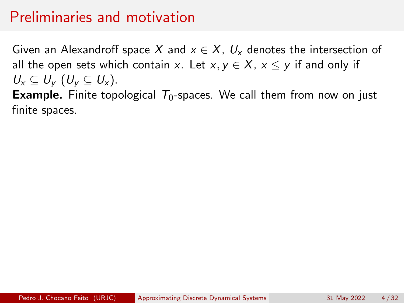Given an Alexandroff space X and  $x \in X$ ,  $U_x$  denotes the intersection of all the open sets which contain x. Let  $x, y \in X$ ,  $x \leq y$  if and only if  $U_{\rm x} \subset U_{\rm y}$   $(U_{\rm y} \subset U_{\rm x})$ .

**Example.** Finite topological  $T_0$ -spaces. We call them from now on just finite spaces.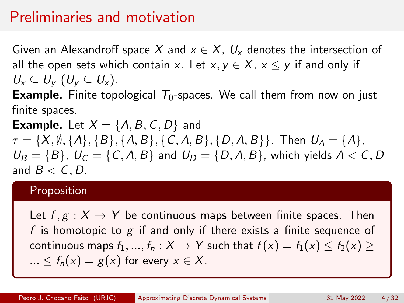Given an Alexandroff space X and  $x \in X$ ,  $U_x$  denotes the intersection of all the open sets which contain x. Let  $x, y \in X$ ,  $x \le y$  if and only if  $U_x \subset U_y$   $(U_y \subset U_x)$ .

**Example.** Finite topological  $T_0$ -spaces. We call them from now on just finite spaces.

**Example.** Let  $X = \{A, B, C, D\}$  and  $\tau = \{X, \emptyset, \{A\}, \{B\}, \{A, B\}, \{C, A, B\}, \{D, A, B\}\}\$ . Then  $U_A = \{A\}$ ,  $U_B = \{B\}, U_C = \{C, A, B\}$  and  $U_D = \{D, A, B\}$ , which yields  $A < C, D$ and  $B < C, D$ .

#### Proposition

Let  $f, g: X \to Y$  be continuous maps between finite spaces. Then f is homotopic to  $g$  if and only if there exists a finite sequence of continuous maps  $f_1, ..., f_n : X \to Y$  such that  $f(x) = f_1(x) \le f_2(x) \ge$  $... < f_n(x) = g(x)$  for every  $x \in X$ .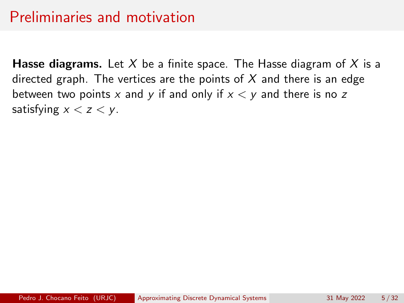**Hasse diagrams.** Let X be a finite space. The Hasse diagram of X is a directed graph. The vertices are the points of  $X$  and there is an edge between two points x and y if and only if  $x < y$  and there is no z satisfying  $x < z < y$ .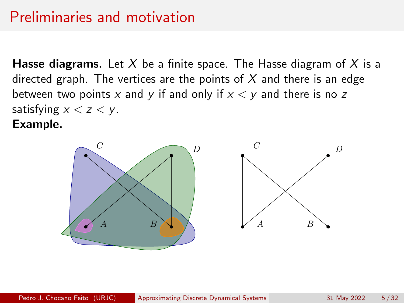**Hasse diagrams.** Let X be a finite space. The Hasse diagram of X is a directed graph. The vertices are the points of  $X$  and there is an edge between two points x and y if and only if  $x < y$  and there is no z satisfying  $x < z < y$ . Example.

> $C$   $D$  $A$   $B \wedge \wedge$   $A$   $B$  $C$   $D$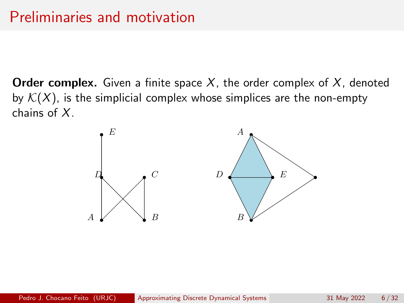**Order complex.** Given a finite space  $X$ , the order complex of  $X$ , denoted by  $K(X)$ , is the simplicial complex whose simplices are the non-empty chains of X.

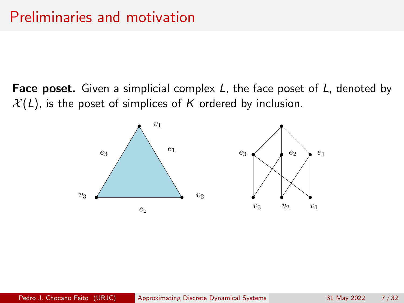**Face poset.** Given a simplicial complex  $L$ , the face poset of  $L$ , denoted by  $X(L)$ , is the poset of simplices of K ordered by inclusion.

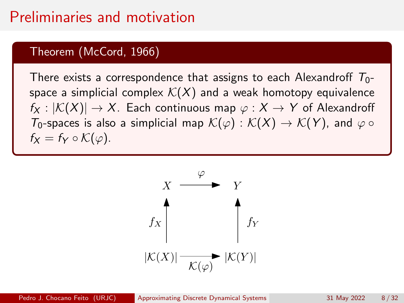#### Theorem (McCord, 1966)

There exists a correspondence that assigns to each Alexandroff  $T_0$ space a simplicial complex  $\mathcal{K}(X)$  and a weak homotopy equivalence  $f_X : |\mathcal{K}(X)| \to X$ . Each continuous map  $\varphi : X \to Y$  of Alexandroff  $T_0$ -spaces is also a simplicial map  $\mathcal{K}(\varphi) : \mathcal{K}(X) \to \mathcal{K}(Y)$ , and  $\varphi \circ$  $f_X = f_Y \circ \mathcal{K}(\varphi)$ .

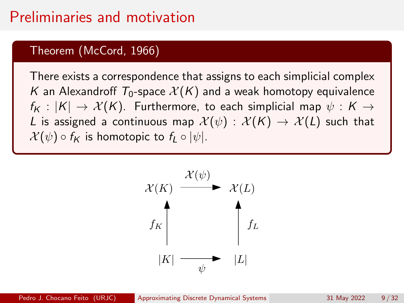### Theorem (McCord, 1966)

There exists a correspondence that assigns to each simplicial complex K an Alexandroff  $T_0$ -space  $\mathcal{X}(K)$  and a weak homotopy equivalence  $f_K : |K| \to \mathcal{X}(K)$ . Furthermore, to each simplicial map  $\psi : K \to$ L is assigned a continuous map  $\mathcal{X}(\psi) : \mathcal{X}(K) \to \mathcal{X}(L)$  such that  $\mathcal{X}(\psi) \circ f_{\mathsf{K}}$  is homotopic to  $f_{\mathsf{L}} \circ |\psi|$ .

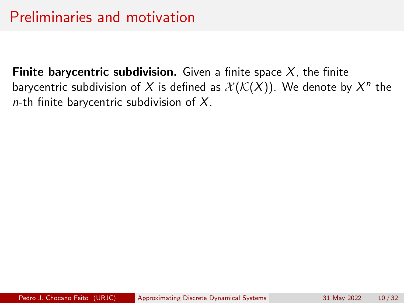Finite barycentric subdivision. Given a finite space  $X$ , the finite barycentric subdivision of  $X$  is defined as  $\mathcal{X}(\mathcal{K}(X)).$  We denote by  $X^n$  the n-th finite barycentric subdivision of  $X$ .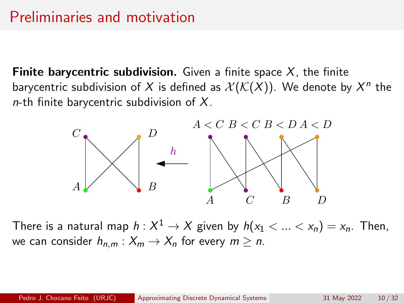**Finite barycentric subdivision.** Given a finite space  $X$ , the finite barycentric subdivision of  $X$  is defined as  $\mathcal{X}(\mathcal{K}(X)).$  We denote by  $X^n$  the  $n$ -th finite barycentric subdivision of X.



There is a natural map  $h: X^1 \to X$  given by  $h(\mathsf{x}_1 < ... < \mathsf{x}_n) = \mathsf{x}_n.$  Then, we can consider  $h_{n,m}: X_m \to X_n$  for every  $m \geq n$ .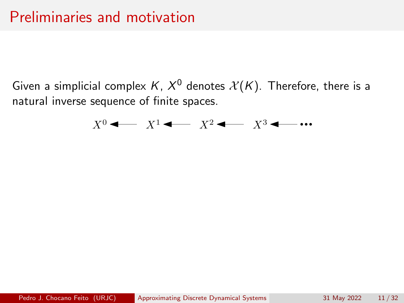Given a simplicial complex K,  $X^0$  denotes  $\mathcal{X}(K)$ . Therefore, there is a natural inverse sequence of finite spaces.

$$
X^0 \leftarrow X^1 \leftarrow X^2 \leftarrow X^3 \leftarrow \cdots
$$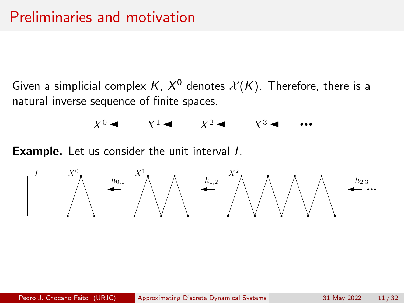Given a simplicial complex K,  $X^0$  denotes  $\mathcal{X}(K)$ . Therefore, there is a natural inverse sequence of finite spaces.

$$
X^0 \leftarrow X^1 \leftarrow X^2 \leftarrow X^3 \leftarrow \cdots
$$

**Example.** Let us consider the unit interval *l*.

$$
\begin{array}{ccc} & I & & X^0 \\ & & \nearrow & \\ & & & \nearrow & \\ & & & & \nearrow \end{array} \begin{array}{c} & & & X^1 \\ & & \nearrow & \\ & & & \nearrow & \\ & & & & \nearrow \end{array} \begin{array}{c} & & X^2 \\ & & \nearrow & \\ & & & \nearrow & \\ & & & \nearrow & \\ & & & & \nearrow \end{array} \begin{array}{c} & & & h_{2,3} \\ & & \searrow & \\ & & \searrow & \\ & & & \searrow & \\ & & & \searrow & \\ & & & & \searrow & \\ & & & & \searrow & \\ & & & & \searrow & \\ & & & & \searrow & \\ & & & & \searrow & \\ & & & & \searrow & \\ & & & & & \searrow & \\ & & & & & \searrow & \\ & & & & & \searrow & \\ & & & & & \searrow & \\ & & & & & & \searrow & \\ & & & & & & \searrow & \\ & & & & & & \searrow & \\ & & & & & & \searrow & \\ & & & & & & \searrow & \\ & & & & & & \searrow & \\ & & & & & & \searrow & \\ & & & & & & & \searrow & \\ & & & & & & & \searrow & \\ & & & & & & & \searrow & \\ & & & & & & & \searrow & \\ & & & & & & & \searrow & \\ & & & & & & & \searrow & \\ & & & & & & & \searrow & \\ & & & & & & & \searrow & \\ & & & & & & & \searrow & \\ & & & & & & & \searrow & \\ & & & & & & & \searrow & \\ & & & & & & & \searrow & \\ & & & & & & & \searrow & \\ & & & & & & & \searrow & \\ & & & & & & & \searrow & \\ & & & & & & & \searrow & \\ & & & & & & & \searrow & \\ & & & & & & & \searrow & \\ & & & & & & & \searrow & \\ & & & & & & & \searrow & \\ & & & & & & & \searrow & \\ & & & & & & & \searrow & \\ & & & & & & & \searrow & \\ & & & & & & & \searrow & \\ & & & & & & & \searrow & \\ & & & & & & & \searrow & \\ & & & & & & & \searrow & \\ & & & & & & & \searrow & \\ & & & & & & & \searrow & \\ & & & & & & & \searrow & \\ & & & & & & & \searrow & \\ & & & & & & & \searrow & \\ & & & & & & & \searrow & \\ & & & & & & & \searrow & \\ & & &
$$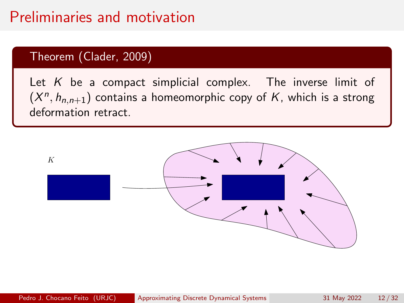### Theorem (Clader, 2009)

Let  $K$  be a compact simplicial complex. The inverse limit of  $(X<sup>n</sup>, h<sub>n,n+1</sub>)$  contains a homeomorphic copy of K, which is a strong deformation retract.

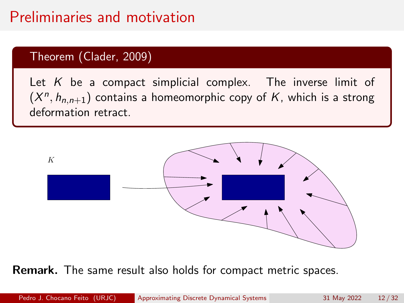### Theorem (Clader, 2009)

Let  $K$  be a compact simplicial complex. The inverse limit of  $(X<sup>n</sup>, h<sub>n,n+1</sub>)$  contains a homeomorphic copy of K, which is a strong deformation retract.



Remark. The same result also holds for compact metric spaces.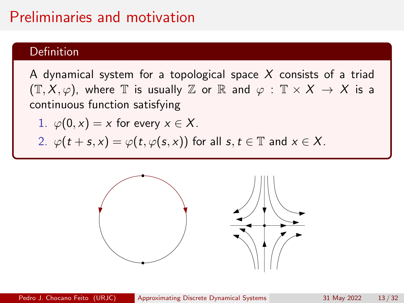### Definition

A dynamical system for a topological space  $X$  consists of a triad  $(\mathbb{T}, X, \varphi)$ , where  $\mathbb{T}$  is usually  $\mathbb{Z}$  or  $\mathbb{R}$  and  $\varphi : \mathbb{T} \times X \to X$  is a continuous function satisfying

1. 
$$
\varphi(0, x) = x
$$
 for every  $x \in X$ .

2. 
$$
\varphi(t+s,x) = \varphi(t,\varphi(s,x))
$$
 for all  $s, t \in \mathbb{T}$  and  $x \in X$ .

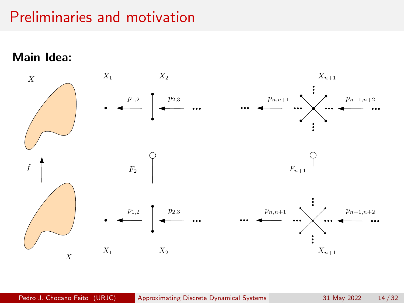Main Idea:

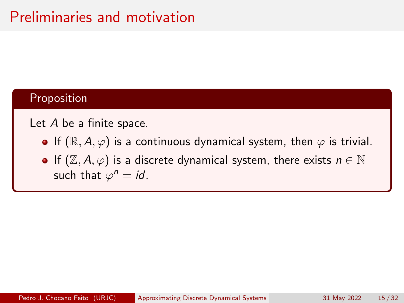#### Proposition

#### Let A be a finite space.

- **•** If  $(\mathbb{R}, A, \varphi)$  is a continuous dynamical system, then  $\varphi$  is trivial.
- If  $(\mathbb{Z}, A, \varphi)$  is a discrete dynamical system, there exists  $n \in \mathbb{N}$ such that  $\varphi^n = id$ .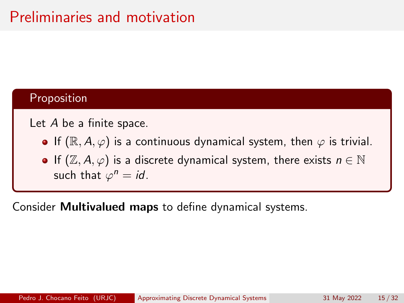### Proposition

Let A be a finite space.

- **•** If  $(\mathbb{R}, A, \varphi)$  is a continuous dynamical system, then  $\varphi$  is trivial.
- If  $(\mathbb{Z}, A, \varphi)$  is a discrete dynamical system, there exists  $n \in \mathbb{N}$ such that  $\varphi^n = id$ .

Consider Multivalued maps to define dynamical systems.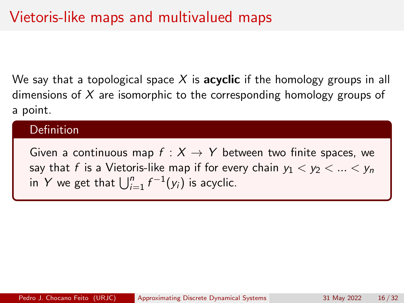We say that a topological space X is **acyclic** if the homology groups in all dimensions of  $X$  are isomorphic to the corresponding homology groups of a point.

#### Definition

Given a continuous map  $f : X \rightarrow Y$  between two finite spaces, we say that f is a Vietoris-like map if for every chain  $y_1 < y_2 < ... < y_n$ in Y we get that  $\bigcup_{i=1}^n f^{-1}(y_i)$  is acyclic.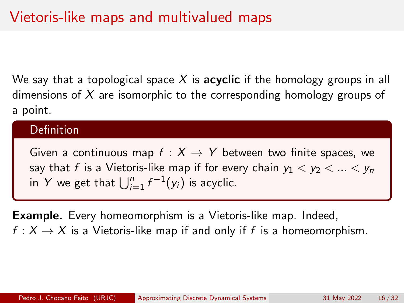We say that a topological space X is **acyclic** if the homology groups in all dimensions of  $X$  are isomorphic to the corresponding homology groups of a point.

#### Definition

Given a continuous map  $f : X \rightarrow Y$  between two finite spaces, we say that f is a Vietoris-like map if for every chain  $y_1 < y_2 < ... < y_n$ in Y we get that  $\bigcup_{i=1}^n f^{-1}(y_i)$  is acyclic.

Example. Every homeomorphism is a Vietoris-like map. Indeed,  $f: X \to X$  is a Vietoris-like map if and only if f is a homeomorphism.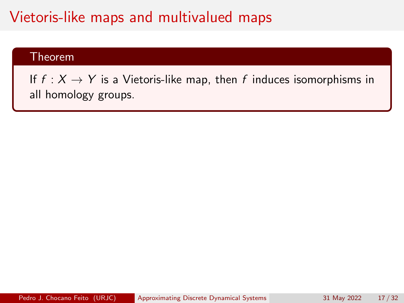#### Theorem

If  $f : X \to Y$  is a Vietoris-like map, then f induces isomorphisms in all homology groups.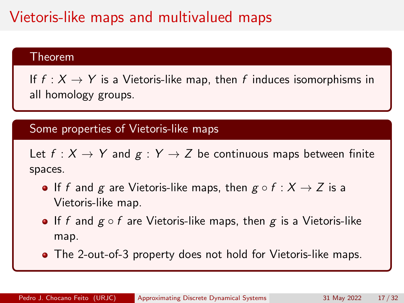#### Theorem

If  $f: X \to Y$  is a Vietoris-like map, then f induces isomorphisms in all homology groups.

#### Some properties of Vietoris-like maps

Let  $f: X \to Y$  and  $g: Y \to Z$  be continuous maps between finite spaces.

- If f and g are Vietoris-like maps, then  $g \circ f : X \to Z$  is a Vietoris-like map.
- If f and  $g \circ f$  are Vietoris-like maps, then g is a Vietoris-like map.
- The 2-out-of-3 property does not hold for Vietoris-like maps.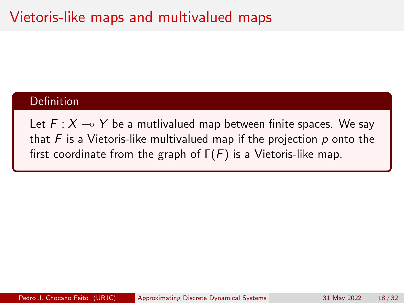#### Definition

Let  $F : X \rightarrow Y$  be a mutlivalued map between finite spaces. We say that  $F$  is a Vietoris-like multivalued map if the projection  $p$  onto the first coordinate from the graph of  $\Gamma(F)$  is a Vietoris-like map.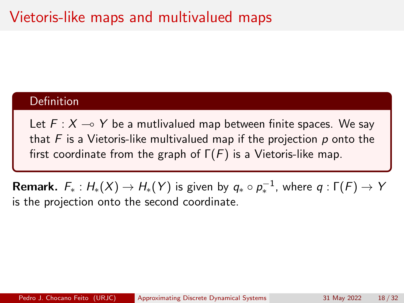#### Definition

Let  $F : X \rightarrow Y$  be a mutlivalued map between finite spaces. We say that  $F$  is a Vietoris-like multivalued map if the projection  $p$  onto the first coordinate from the graph of  $\Gamma(F)$  is a Vietoris-like map.

 $\sf{Remark.}$   $\;F_*: H_*(X) \to H_*(Y)$  is given by  $q_* \circ \rho_*^{-1}$ , where  $q: \Gamma(F) \to Y$ is the projection onto the second coordinate.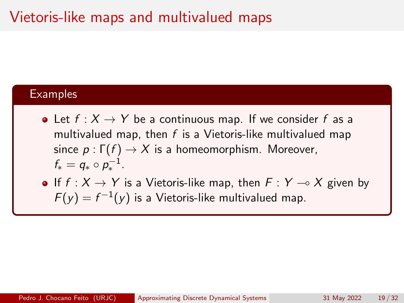#### **Examples**

- Let  $f: X \to Y$  be a continuous map. If we consider f as a multivalued map, then  $f$  is a Vietoris-like multivalued map since  $p : \Gamma(f) \to X$  is a homeomorphism. Moreover,  $f_* = q_* \circ p_*^{-1}.$
- If  $f : X \to Y$  is a Vietoris-like map, then  $F : Y \to X$  given by  $F(y) = f^{-1}(y)$  is a Vietoris-like multivalued map.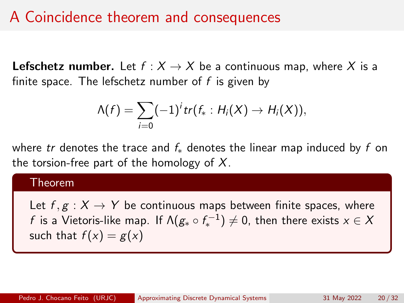# A Coincidence theorem and consequences

**Lefschetz number.** Let  $f : X \to X$  be a continuous map, where X is a finite space. The lefschetz number of  $f$  is given by

$$
\Lambda(f)=\sum_{i=0}(-1)^{i}tr(f_{*}:H_{i}(X)\rightarrow H_{i}(X)),
$$

where tr denotes the trace and  $f_*$  denotes the linear map induced by f on the torsion-free part of the homology of  $X$ .

#### Theorem

Let  $f, g: X \to Y$  be continuous maps between finite spaces, where  $f$  is a Vietoris-like map. If  $\mathsf{N}(g_\ast \circ f_\ast^{-1}) \neq 0$ , then there exists  $x \in \mathcal{X}$ such that  $f(x) = g(x)$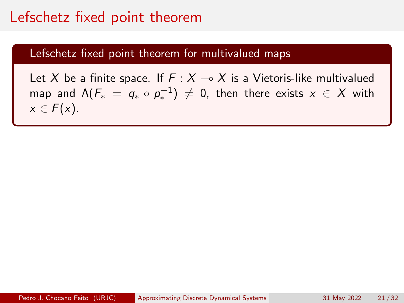### Lefschetz fixed point theorem

#### Lefschetz fixed point theorem for multivalued maps

Let X be a finite space. If  $F : X \rightarrow X$  is a Vietoris-like multivalued map and  $\Lambda(F_*) = q_* \circ p_*^{-1} \neq 0$ , then there exists  $x \in X$  with  $x \in F(x)$ .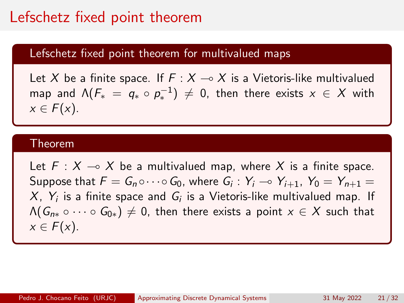### Lefschetz fixed point theorem

#### Lefschetz fixed point theorem for multivalued maps

Let X be a finite space. If  $F : X \rightarrow X$  is a Vietoris-like multivalued map and  $\Lambda(F_*) = q_* \circ p_*^{-1} \neq 0$ , then there exists  $x \in X$  with  $x \in F(x)$ .

#### Theorem

Let  $F : X \multimap X$  be a multivalued map, where X is a finite space. Suppose that  $F = G_n \circ \cdots \circ G_0$ , where  $G_i : Y_i \to Y_{i+1}$ ,  $Y_0 = Y_{n+1} =$  $X$ ,  $Y_i$  is a finite space and  $G_i$  is a Vietoris-like multivalued map. If  $\Lambda(G_{n*}\circ\cdots\circ G_{0*})\neq 0$ , then there exists a point  $x\in X$  such that  $x \in F(x)$ .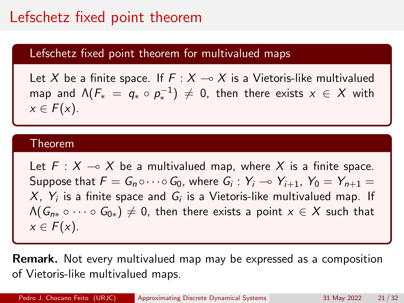# Lefschetz fixed point theorem

#### Lefschetz fixed point theorem for multivalued maps

Let X be a finite space. If  $F : X \rightarrow X$  is a Vietoris-like multivalued map and  $\Lambda(F_*) = q_* \circ p_*^{-1} \neq 0$ , then there exists  $x \in X$  with  $x \in F(x)$ .

#### Theorem

Let  $F : X \multimap X$  be a multivalued map, where X is a finite space. Suppose that  $F = G_n \circ \cdots \circ G_0$ , where  $G_i : Y_i \to Y_{i+1}$ ,  $Y_0 = Y_{n+1} =$  $X$ ,  $Y_i$  is a finite space and  $G_i$  is a Vietoris-like multivalued map. If  $\Lambda(G_{n*}\circ\cdots\circ G_{0*})\neq 0$ , then there exists a point  $x\in X$  such that  $x \in F(x)$ .

Remark. Not every multivalued map may be expressed as a composition of Vietoris-like multivalued maps.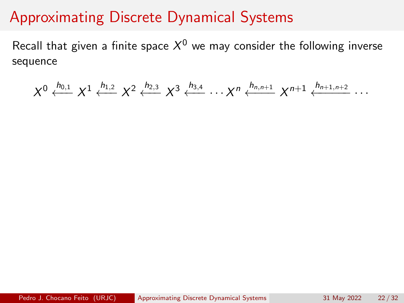Recall that given a finite space  $\mathcal{X}^0$  we may consider the following inverse sequence

$$
X^{0} \xleftarrow{h_{0,1}} X^{1} \xleftarrow{h_{1,2}} X^{2} \xleftarrow{h_{2,3}} X^{3} \xleftarrow{h_{3,4}} \cdots X^{n} \xleftarrow{h_{n,n+1}} X^{n+1} \xleftarrow{h_{n+1,n+2}} \cdots
$$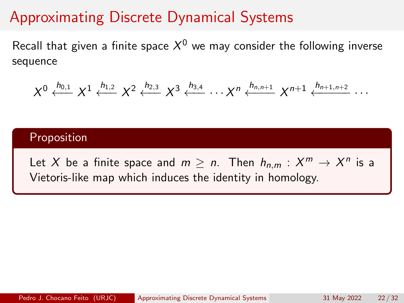Recall that given a finite space  $\mathcal{X}^0$  we may consider the following inverse sequence

$$
X^{0} \xleftarrow{h_{0,1}} X^{1} \xleftarrow{h_{1,2}} X^{2} \xleftarrow{h_{2,3}} X^{3} \xleftarrow{h_{3,4}} \cdots X^{n} \xleftarrow{h_{n,n+1}} X^{n+1} \xleftarrow{h_{n+1,n+2}} \cdots
$$

#### Proposition

Let X be a finite space and  $m \ge n$ . Then  $h_{n,m}: X^m \to X^n$  is a Vietoris-like map which induces the identity in homology.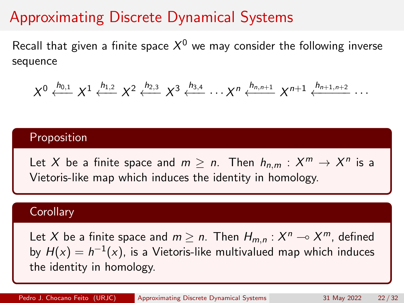Recall that given a finite space  $\mathcal{X}^0$  we may consider the following inverse sequence

$$
X^{0} \xleftarrow{h_{0,1}} X^{1} \xleftarrow{h_{1,2}} X^{2} \xleftarrow{h_{2,3}} X^{3} \xleftarrow{h_{3,4}} \cdots X^{n} \xleftarrow{h_{n,n+1}} X^{n+1} \xleftarrow{h_{n+1,n+2}} \cdots
$$

#### Proposition

Let X be a finite space and  $m \ge n$ . Then  $h_{n,m}: X^m \to X^n$  is a Vietoris-like map which induces the identity in homology.

#### **Corollary**

Let X be a finite space and  $m \ge n$ . Then  $H_{m,n} : X^n \to X^m$ , defined by  $H(x) = h^{-1}(x)$ , is a Vietoris-like multivalued map which induces the identity in homology.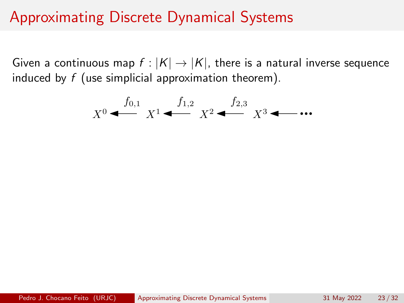Given a continuous map  $f : |K| \to |K|$ , there is a natural inverse sequence induced by  $f$  (use simplicial approximation theorem).

$$
X^0 \stackrel{f_{0,1}}{\longleftarrow} X^1 \stackrel{f_{1,2}}{\longleftarrow} X^2 \stackrel{f_{2,3}}{\longleftarrow} X^3 \stackrel{\longleftarrow}{\longleftarrow} \cdots
$$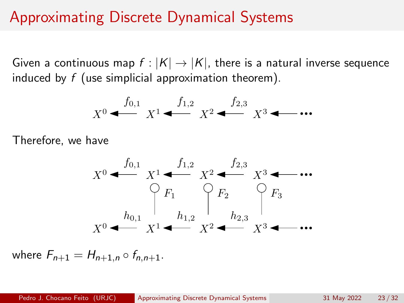Given a continuous map  $f : |K| \to |K|$ , there is a natural inverse sequence induced by  $f$  (use simplicial approximation theorem).

$$
X^0 \stackrel{f_{0,1}}{\longleftarrow} X^1 \stackrel{f_{1,2}}{\longleftarrow} X^2 \stackrel{f_{2,3}}{\longleftarrow} X^3 \stackrel{\longleftarrow}{\longleftarrow} \cdots
$$

Therefore, we have



where  $F_{n+1} = H_{n+1,n} \circ f_{n,n+1}$ .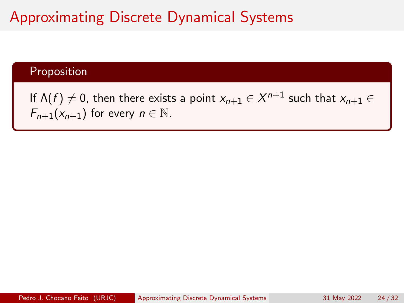#### Proposition

If  $\Lambda(f)\neq 0$ , then there exists a point  $x_{n+1}\in\mathcal{X}^{n+1}$  such that  $x_{n+1}\in$  $F_{n+1}(x_{n+1})$  for every  $n \in \mathbb{N}$ .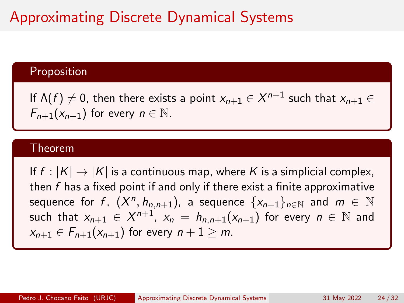#### Proposition

If  $\Lambda(f)\neq 0$ , then there exists a point  $x_{n+1}\in\mathcal{X}^{n+1}$  such that  $x_{n+1}\in$  $F_{n+1}(x_{n+1})$  for every  $n \in \mathbb{N}$ .

#### Theorem

If  $f : |K| \to |K|$  is a continuous map, where K is a simplicial complex, then  $f$  has a fixed point if and only if there exist a finite approximative sequence for f,  $(X^n, h_{n,n+1})$ , a sequence  $\{x_{n+1}\}_{n\in\mathbb{N}}$  and  $m \in \mathbb{N}$ such that  $x_{n+1} \in X^{n+1}$ ,  $x_n = h_{n,n+1}(x_{n+1})$  for every  $n \in \mathbb{N}$  and  $x_{n+1} \in F_{n+1}(x_{n+1})$  for every  $n+1 \ge m$ .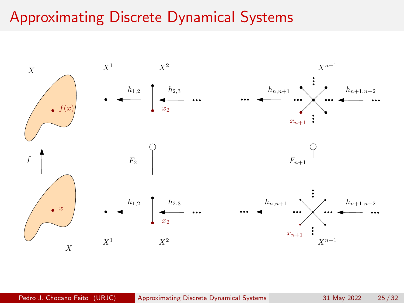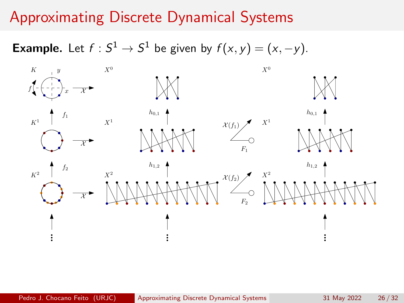**Example.** Let  $f : S^1 \to S^1$  be given by  $f(x, y) = (x, -y)$ .

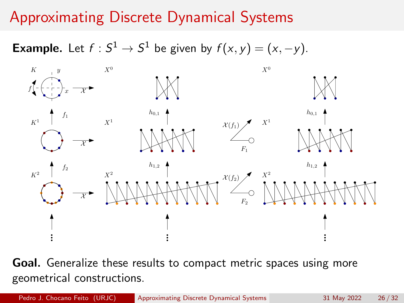**Example.** Let  $f : S^1 \to S^1$  be given by  $f(x, y) = (x, -y)$ .



Goal. Generalize these results to compact metric spaces using more geometrical constructions.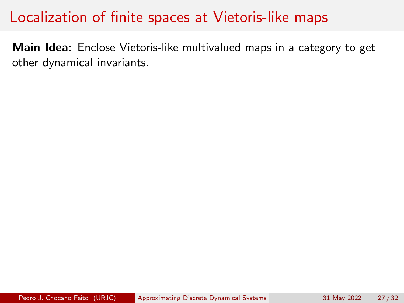Main Idea: Enclose Vietoris-like multivalued maps in a category to get other dynamical invariants.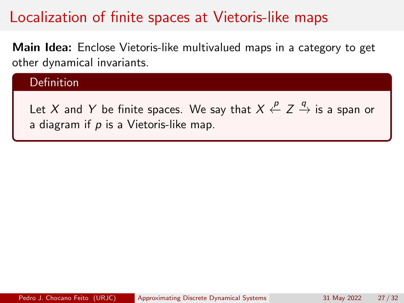Main Idea: Enclose Vietoris-like multivalued maps in a category to get other dynamical invariants.

### Definition

Let  $X$  and  $Y$  be finite spaces. We say that  $X\stackrel{\rho}{\leftarrow} Z\stackrel{q}{\rightarrow}$  is a span or a diagram if  $p$  is a Vietoris-like map.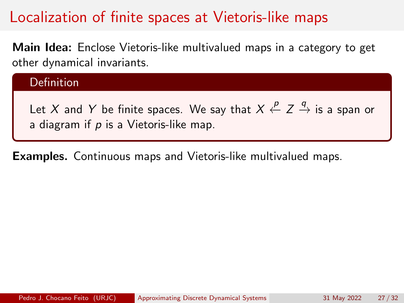Main Idea: Enclose Vietoris-like multivalued maps in a category to get other dynamical invariants.

### Definition

Let  $X$  and  $Y$  be finite spaces. We say that  $X\stackrel{\rho}{\leftarrow} Z\stackrel{q}{\rightarrow}$  is a span or a diagram if  $p$  is a Vietoris-like map.

Examples. Continuous maps and Vietoris-like multivalued maps.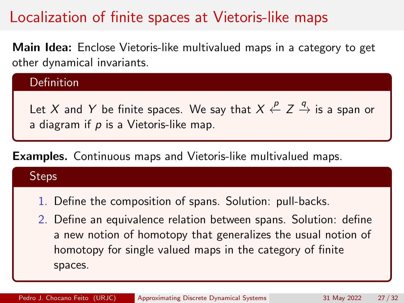Main Idea: Enclose Vietoris-like multivalued maps in a category to get other dynamical invariants.

### Definition

Let  $X$  and  $Y$  be finite spaces. We say that  $X\stackrel{\rho}{\leftarrow} Z\stackrel{q}{\rightarrow}$  is a span or a diagram if  $p$  is a Vietoris-like map.

### Examples. Continuous maps and Vietoris-like multivalued maps.

| teps                                                                                                                                                                                                                                                                    |
|-------------------------------------------------------------------------------------------------------------------------------------------------------------------------------------------------------------------------------------------------------------------------|
| 1. Define the composition of spans. Solution: pull-backs.<br>2. Define an equivalence relation between spans. Solution: define<br>a new notion of homotopy that generalizes the usual notion of<br>homotopy for single valued maps in the category of finite<br>spaces. |
|                                                                                                                                                                                                                                                                         |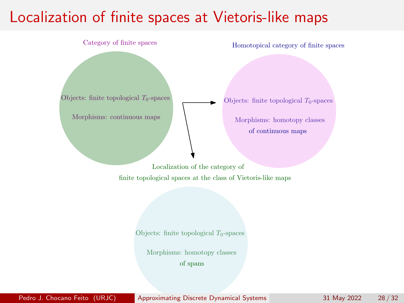

Pedro J. Chocano Feito (URJC) [Approximating Discrete Dynamical Systems](#page-0-0) 31 May 2022 28 / 32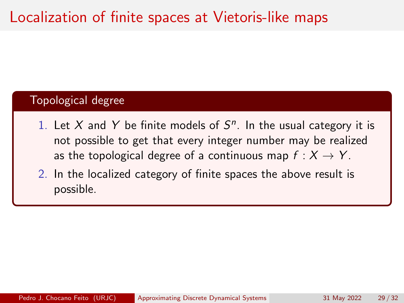#### Topological degree

- 1. Let X and Y be finite models of  $S<sup>n</sup>$ . In the usual category it is not possible to get that every integer number may be realized as the topological degree of a continuous map  $f: X \rightarrow Y$ .
- 2. In the localized category of finite spaces the above result is possible.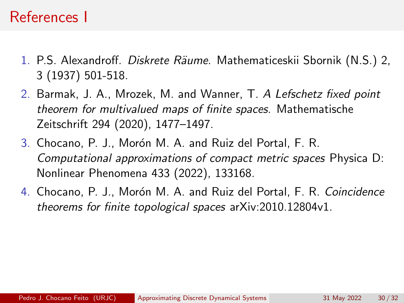## References I

- 1. P.S. Alexandroff. Diskrete Räume. Mathematiceskii Sbornik (N.S.) 2, 3 (1937) 501-518.
- 2. Barmak, J. A., Mrozek, M. and Wanner, T. A Lefschetz fixed point theorem for multivalued maps of finite spaces. Mathematische Zeitschrift 294 (2020), 1477–1497.
- 3. Chocano, P. J., Morón M. A. and Ruiz del Portal, F. R. Computational approximations of compact metric spaces Physica D: Nonlinear Phenomena 433 (2022), 133168.
- 4. Chocano, P. J., Morón M. A. and Ruiz del Portal, F. R. Coincidence theorems for finite topological spaces arXiv:2010.12804v1.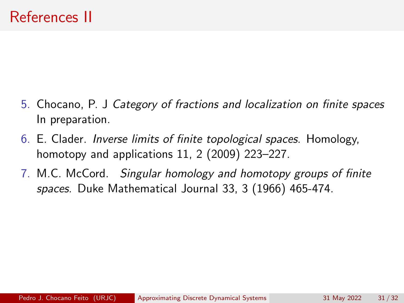- 5. Chocano, P. J Category of fractions and localization on finite spaces In preparation.
- 6. E. Clader. Inverse limits of finite topological spaces. Homology, homotopy and applications 11, 2 (2009) 223–227.
- 7. M.C. McCord. Singular homology and homotopy groups of finite spaces. Duke Mathematical Journal 33, 3 (1966) 465-474.